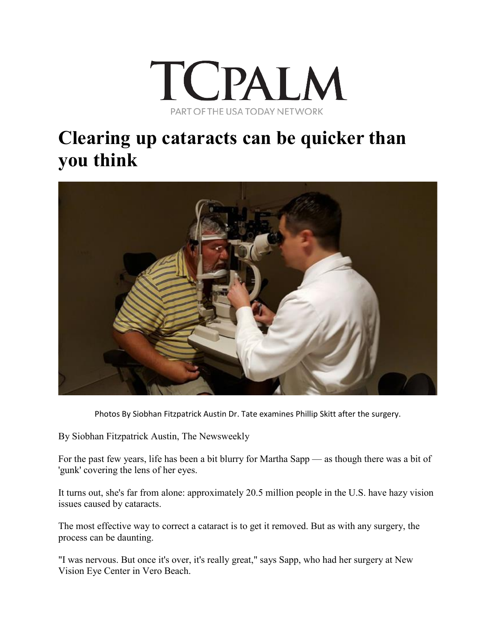

## **Clearing up cataracts can be quicker than you think**



Photos By Siobhan Fitzpatrick Austin Dr. Tate examines Phillip Skitt after the surgery.

By Siobhan Fitzpatrick Austin, The Newsweekly

For the past few years, life has been a bit blurry for Martha Sapp — as though there was a bit of 'gunk' covering the lens of her eyes.

It turns out, she's far from alone: approximately 20.5 million people in the U.S. have hazy vision issues caused by cataracts.

The most effective way to correct a cataract is to get it removed. But as with any surgery, the process can be daunting.

"I was nervous. But once it's over, it's really great," says Sapp, who had her surgery at New Vision Eye Center in Vero Beach.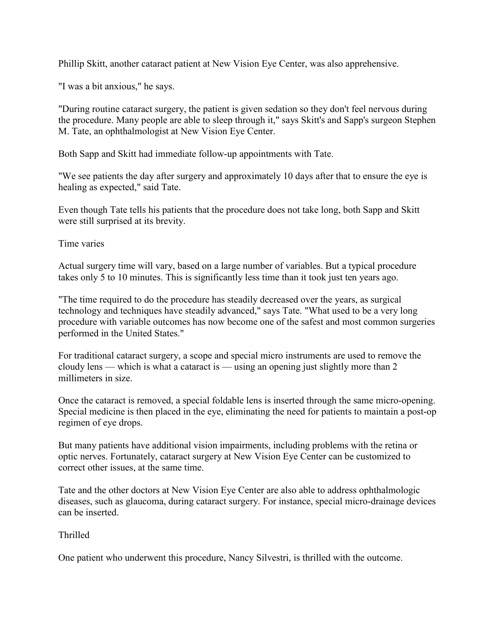Phillip Skitt, another cataract patient at New Vision Eye Center, was also apprehensive.

"I was a bit anxious," he says.

"During routine cataract surgery, the patient is given sedation so they don't feel nervous during the procedure. Many people are able to sleep through it," says Skitt's and Sapp's surgeon Stephen M. Tate, an ophthalmologist at New Vision Eye Center.

Both Sapp and Skitt had immediate follow-up appointments with Tate.

"We see patients the day after surgery and approximately 10 days after that to ensure the eye is healing as expected," said Tate.

Even though Tate tells his patients that the procedure does not take long, both Sapp and Skitt were still surprised at its brevity.

Time varies

Actual surgery time will vary, based on a large number of variables. But a typical procedure takes only 5 to 10 minutes. This is significantly less time than it took just ten years ago.

"The time required to do the procedure has steadily decreased over the years, as surgical technology and techniques have steadily advanced," says Tate. "What used to be a very long procedure with variable outcomes has now become one of the safest and most common surgeries performed in the United States."

For traditional cataract surgery, a scope and special micro instruments are used to remove the cloudy lens — which is what a cataract is — using an opening just slightly more than 2 millimeters in size.

Once the cataract is removed, a special foldable lens is inserted through the same micro-opening. Special medicine is then placed in the eye, eliminating the need for patients to maintain a post-op regimen of eye drops.

But many patients have additional vision impairments, including problems with the retina or optic nerves. Fortunately, cataract surgery at New Vision Eye Center can be customized to correct other issues, at the same time.

Tate and the other doctors at New Vision Eye Center are also able to address ophthalmologic diseases, such as glaucoma, during cataract surgery. For instance, special micro-drainage devices can be inserted.

Thrilled

One patient who underwent this procedure, Nancy Silvestri, is thrilled with the outcome.